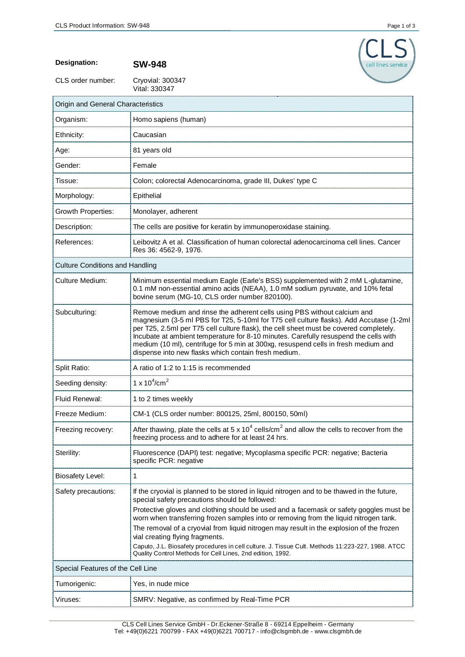

**Designation: SW-948**

CLS order number:

Cryovial: 300347<br>Vital: 330347

| Origin and General Characteristics     |                                                                                                                                                                                                                                                                                                                                                                                                                                                                                                     |
|----------------------------------------|-----------------------------------------------------------------------------------------------------------------------------------------------------------------------------------------------------------------------------------------------------------------------------------------------------------------------------------------------------------------------------------------------------------------------------------------------------------------------------------------------------|
| Organism:                              | Homo sapiens (human)                                                                                                                                                                                                                                                                                                                                                                                                                                                                                |
| Ethnicity:                             | Caucasian                                                                                                                                                                                                                                                                                                                                                                                                                                                                                           |
| Age:                                   | 81 years old                                                                                                                                                                                                                                                                                                                                                                                                                                                                                        |
| Gender:                                | Female                                                                                                                                                                                                                                                                                                                                                                                                                                                                                              |
| Tissue:                                | Colon; colorectal Adenocarcinoma, grade III, Dukes' type C                                                                                                                                                                                                                                                                                                                                                                                                                                          |
| Morphology:                            | Epithelial                                                                                                                                                                                                                                                                                                                                                                                                                                                                                          |
| <b>Growth Properties:</b>              | Monolayer, adherent                                                                                                                                                                                                                                                                                                                                                                                                                                                                                 |
| Description:                           | The cells are positive for keratin by immunoperoxidase staining.                                                                                                                                                                                                                                                                                                                                                                                                                                    |
| References:                            | Leibovitz A et al. Classification of human colorectal adenocarcinoma cell lines. Cancer<br>Res 36: 4562-9, 1976.                                                                                                                                                                                                                                                                                                                                                                                    |
| <b>Culture Conditions and Handling</b> |                                                                                                                                                                                                                                                                                                                                                                                                                                                                                                     |
| <b>Culture Medium:</b>                 | Minimum essential medium Eagle (Earle's BSS) supplemented with 2 mM L-glutamine,<br>0.1 mM non-essential amino acids (NEAA), 1.0 mM sodium pyruvate, and 10% fetal<br>bovine serum (MG-10, CLS order number 820100).                                                                                                                                                                                                                                                                                |
| Subculturing:                          | Remove medium and rinse the adherent cells using PBS without calcium and<br>magnesium (3-5 ml PBS for T25, 5-10ml for T75 cell culture flasks). Add Accutase (1-2ml<br>per T25, 2.5ml per T75 cell culture flask), the cell sheet must be covered completely.<br>Incubate at ambient temperature for 8-10 minutes. Carefully resuspend the cells with<br>medium (10 ml), centrifuge for 5 min at 300xg, resuspend cells in fresh medium and<br>dispense into new flasks which contain fresh medium. |
| Split Ratio:                           | A ratio of 1:2 to 1:15 is recommended                                                                                                                                                                                                                                                                                                                                                                                                                                                               |
| Seeding density:                       | 1 x $10^4$ /cm <sup>2</sup>                                                                                                                                                                                                                                                                                                                                                                                                                                                                         |
| Fluid Renewal:                         | 1 to 2 times weekly                                                                                                                                                                                                                                                                                                                                                                                                                                                                                 |
| Freeze Medium:                         | CM-1 (CLS order number: 800125, 25ml, 800150, 50ml)                                                                                                                                                                                                                                                                                                                                                                                                                                                 |
| Freezing recovery:                     | After thawing, plate the cells at 5 x 10 <sup>4</sup> cells/cm <sup>2</sup> and allow the cells to recover from the<br>freezing process and to adhere for at least 24 hrs.                                                                                                                                                                                                                                                                                                                          |
| Sterility:                             | Fluorescence (DAPI) test: negative; Mycoplasma specific PCR: negative; Bacteria<br>specific PCR: negative                                                                                                                                                                                                                                                                                                                                                                                           |
| <b>Biosafety Level:</b>                | 1                                                                                                                                                                                                                                                                                                                                                                                                                                                                                                   |
| Safety precautions:                    | If the cryovial is planned to be stored in liquid nitrogen and to be thawed in the future,<br>special safety precautions should be followed:<br>Protective gloves and clothing should be used and a facemask or safety goggles must be<br>worn when transferring frozen samples into or removing from the liquid nitrogen tank.                                                                                                                                                                     |
|                                        | The removal of a cryovial from liquid nitrogen may result in the explosion of the frozen<br>vial creating flying fragments.<br>Caputo, J.L. Biosafety procedures in cell culture. J. Tissue Cult. Methods 11:223-227, 1988. ATCC                                                                                                                                                                                                                                                                    |
| Special Features of the Cell Line      | Quality Control Methods for Cell Lines, 2nd edition, 1992.                                                                                                                                                                                                                                                                                                                                                                                                                                          |
| Tumorigenic:                           | Yes, in nude mice                                                                                                                                                                                                                                                                                                                                                                                                                                                                                   |
| Viruses:                               | SMRV: Negative, as confirmed by Real-Time PCR                                                                                                                                                                                                                                                                                                                                                                                                                                                       |
|                                        |                                                                                                                                                                                                                                                                                                                                                                                                                                                                                                     |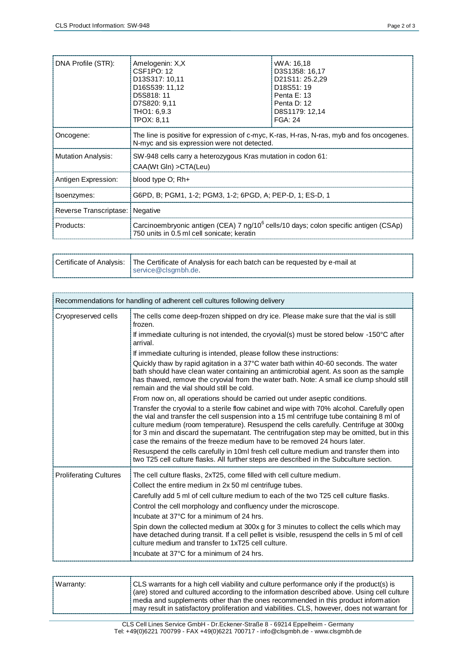| DNA Profile (STR):        | Amelogenin: X,X<br>CSF1PO: 12<br>D13S317: 10,11<br>D16S539: 11,12<br>D5S818: 11<br>D7S820: 9,11<br>THO1: 6.9.3<br><b>TPOX: 8,11</b>            | WA: 16,18<br>D3S1358: 16,17<br>D21S11: 25.2,29<br>D <sub>18</sub> S <sub>51</sub> : 19<br>Penta E: 13<br>Penta D: 12<br>D8S1179: 12,14<br><b>FGA: 24</b> |
|---------------------------|------------------------------------------------------------------------------------------------------------------------------------------------|----------------------------------------------------------------------------------------------------------------------------------------------------------|
| Oncogene:                 | The line is positive for expression of c-myc, K-ras, H-ras, N-ras, myb and fos oncogenes.<br>N-myc and sis expression were not detected.       |                                                                                                                                                          |
| <b>Mutation Analysis:</b> | SW-948 cells carry a heterozygous Kras mutation in codon 61:<br>CAA(Wt Gln) > CTA(Leu)                                                         |                                                                                                                                                          |
| Antigen Expression:       | blood type O; Rh+                                                                                                                              |                                                                                                                                                          |
| Isoenzymes:               | G6PD, B; PGM1, 1-2; PGM3, 1-2; 6PGD, A; PEP-D, 1; ES-D, 1                                                                                      |                                                                                                                                                          |
| Reverse Transcriptase:    | Negative                                                                                                                                       |                                                                                                                                                          |
| Products:                 | Carcinoembryonic antigen (CEA) 7 ng/10 <sup>6</sup> cells/10 days; colon specific antigen (CSAp)<br>750 units in 0.5 ml cell sonicate; keratin |                                                                                                                                                          |

| Certificate of Analysis:   The Certificate of Analysis for each batch can be requested by e-mail at |  |
|-----------------------------------------------------------------------------------------------------|--|
| service@clsgmbh.de.                                                                                 |  |

| Recommendations for handling of adherent cell cultures following delivery |                                                                                                                                                                                                                                                                                                                                                                                                                                                           |
|---------------------------------------------------------------------------|-----------------------------------------------------------------------------------------------------------------------------------------------------------------------------------------------------------------------------------------------------------------------------------------------------------------------------------------------------------------------------------------------------------------------------------------------------------|
| Cryopreserved cells                                                       | The cells come deep-frozen shipped on dry ice. Please make sure that the vial is still<br>frozen.                                                                                                                                                                                                                                                                                                                                                         |
|                                                                           | If immediate culturing is not intended, the cryovial(s) must be stored below -150°C after<br>arrival.                                                                                                                                                                                                                                                                                                                                                     |
|                                                                           | If immediate culturing is intended, please follow these instructions:                                                                                                                                                                                                                                                                                                                                                                                     |
|                                                                           | Quickly thaw by rapid agitation in a 37°C water bath within 40-60 seconds. The water<br>bath should have clean water containing an antimicrobial agent. As soon as the sample<br>has thawed, remove the cryovial from the water bath. Note: A small ice clump should still<br>remain and the vial should still be cold.                                                                                                                                   |
|                                                                           | From now on, all operations should be carried out under aseptic conditions.                                                                                                                                                                                                                                                                                                                                                                               |
|                                                                           | Transfer the cryovial to a sterile flow cabinet and wipe with 70% alcohol. Carefully open<br>the vial and transfer the cell suspension into a 15 ml centrifuge tube containing 8 ml of<br>culture medium (room temperature). Resuspend the cells carefully. Centrifuge at 300xg<br>for 3 min and discard the supernatant. The centrifugation step may be omitted, but in this<br>case the remains of the freeze medium have to be removed 24 hours later. |
|                                                                           | Resuspend the cells carefully in 10ml fresh cell culture medium and transfer them into<br>two T25 cell culture flasks. All further steps are described in the Subculture section.                                                                                                                                                                                                                                                                         |
| <b>Proliferating Cultures</b>                                             | The cell culture flasks, 2xT25, come filled with cell culture medium.                                                                                                                                                                                                                                                                                                                                                                                     |
|                                                                           | Collect the entire medium in 2x 50 ml centrifuge tubes.                                                                                                                                                                                                                                                                                                                                                                                                   |
|                                                                           | Carefully add 5 ml of cell culture medium to each of the two T25 cell culture flasks.                                                                                                                                                                                                                                                                                                                                                                     |
|                                                                           | Control the cell morphology and confluency under the microscope.                                                                                                                                                                                                                                                                                                                                                                                          |
|                                                                           | Incubate at 37°C for a minimum of 24 hrs.                                                                                                                                                                                                                                                                                                                                                                                                                 |
|                                                                           | Spin down the collected medium at 300x g for 3 minutes to collect the cells which may<br>have detached during transit. If a cell pellet is visible, resuspend the cells in 5 ml of cell<br>culture medium and transfer to 1xT25 cell culture.                                                                                                                                                                                                             |
|                                                                           | Incubate at 37°C for a minimum of 24 hrs.                                                                                                                                                                                                                                                                                                                                                                                                                 |

| Warranty: | CLS warrants for a high cell viability and culture performance only if the product(s) is     |
|-----------|----------------------------------------------------------------------------------------------|
|           | (are) stored and cultured according to the information described above. Using cell culture   |
|           | media and supplements other than the ones recommended in this product information            |
|           | may result in satisfactory proliferation and viabilities. CLS, however, does not warrant for |